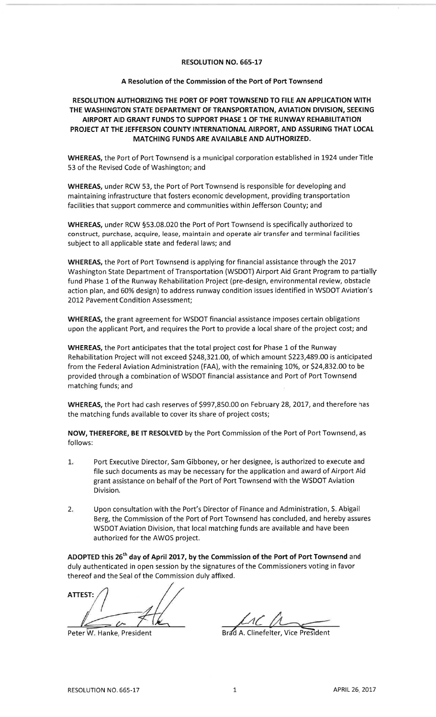## RESOLUTION NO. 665-L7

## A Resolution of the Commission of the Port of Port Townsend

## RESOLUTION AUTHORIZING THE PORT OF PORT TOWNSEND TO FILE AN APPLICATION WITH THE WASHINGTON STATE DEPARTMENT OF TRANSPORTATION, AVIATION DIVISION, SEEKINGAIRPORT AID GRANT FUNDS TO SUPPORT PHASE 1OF THE RUNWAY REHABILITATION PROJECT AT THE JEFFERSON COUNTY INTERNATIONAL AIRPORT, AND ASSURING THAT LOCALMATCHING FUNDS ARE AVAILABLE AND AUTHORIZED.

WHEREAS, the Port of Port Townsend is a municipal corporation established in 1924 under Title53 of the Revised Code of Washington; and

WHEREAS, under RCW 53, the Port of Port Townsend is responsible for developing and maintaining infrastructure that fosters economic development, providing transportationfacilities that support commerce and communities within Jefferson County; and

WHEREAS, under RCW S53.08.020 the Port of Port Townsend is specifically authorized to construct, purchase, acquire, lease, maintain and operate air transfer and terminal facilitiessubject to all applicable state and federal laws; and

WHEREAS, the Port of Port Townsend is applying for financial assistance through the <sup>2017</sup>Washington State Department of Transportation (WSDOT) Airport Aid Grant Program to partially fund Phase 1 of the Runway Rehabilitation Project (pre-design, environmental review, obstacle action plan, and 60% design) to address runway condition issues identified in WSDOT Aviation's2012 Pavement Condition Assessment;

WHEREAS, the grant agreement for WSDOT financial assistance imposes certain obligationsupon the applicant Port, and requires the Port to provide a local share of the project cost; and

WHEREAS, the Port anticipates that the total project cost for Phase 1 of the Runway Rehabilitation Project will not exceed \$248,321.00, of which amount \$223,489.00 is anticipatec from the Federal Aviation Administration (FAA), with the remaining 10%, or \$24,832.00 to be provided through a combination of WSDOT financial assistance and Port of Port Townsendmatching funds; and

WHEREAS, the Port had cash reserves of 5997,850.00 on February 28,2OL7, and therefore hasthe matching funds available to cover its share of project costs;

NOW, THEREFORE, BE IT RESOLVED by the Port Commission of the Port of Port Townsend, as follows:

- Port Executive Director, Sam Gibboney, or her designee, is authorized to execute and file such documents as may be necessary for the application and award of Airport Aidgrant assistance on behalf of the Port of Port Townsend with the WSDOT AviationDivision. $1<sub>x</sub>$
- Upon consultation with the Port's Director of Finance and Administration, S. Abigail Berg, the Commission of the Port of Port Townsend has concluded, and hereby assuresWSDOT Aviation Division, that local matching funds are available and have beenauthorized for the AWOS project. $2.5$

ADOPTED this 26<sup>th</sup> day of April 2017, by the Commission of the Port of Port Townsend and duly authenticated in open session by the signatures of the Commissioners voting in favorthereof and the Seal of the Commission duly affixed.

ATTEST:

Peter W. Hanke, President

 $M$ 

Brad A. Clinefelter, Vice President